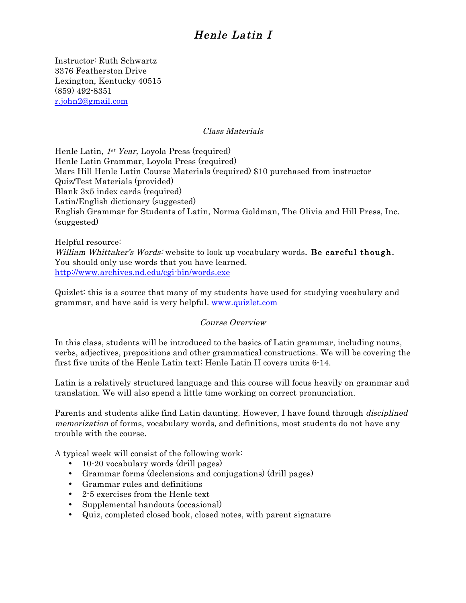Instructor: Ruth Schwartz 3376 Featherston Drive Lexington, Kentucky 40515 (859) 492-8351 r.john2@gmail.com

### Class Materials

Henle Latin, 1<sup>st</sup> Year, Loyola Press (required) Henle Latin Grammar, Loyola Press (required) Mars Hill Henle Latin Course Materials (required) \$10 purchased from instructor Quiz/Test Materials (provided) Blank 3x5 index cards (required) Latin/English dictionary (suggested) English Grammar for Students of Latin, Norma Goldman, The Olivia and Hill Press, Inc. (suggested)

Helpful resource: William Whittaker's Words: website to look up vocabulary words. Be careful though. You should only use words that you have learned. http://www.archives.nd.edu/cgi-bin/words.exe

Quizlet: this is a source that many of my students have used for studying vocabulary and grammar, and have said is very helpful. www.quizlet.com

### Course Overview

In this class, students will be introduced to the basics of Latin grammar, including nouns, verbs, adjectives, prepositions and other grammatical constructions. We will be covering the first five units of the Henle Latin text; Henle Latin II covers units 6-14.

Latin is a relatively structured language and this course will focus heavily on grammar and translation. We will also spend a little time working on correct pronunciation.

Parents and students alike find Latin daunting. However, I have found through disciplined memorization of forms, vocabulary words, and definitions, most students do not have any trouble with the course.

A typical week will consist of the following work:

- 10-20 vocabulary words (drill pages)
- Grammar forms (declensions and conjugations) (drill pages)
- Grammar rules and definitions
- 2-5 exercises from the Henle text
- Supplemental handouts (occasional)
- Quiz, completed closed book, closed notes, with parent signature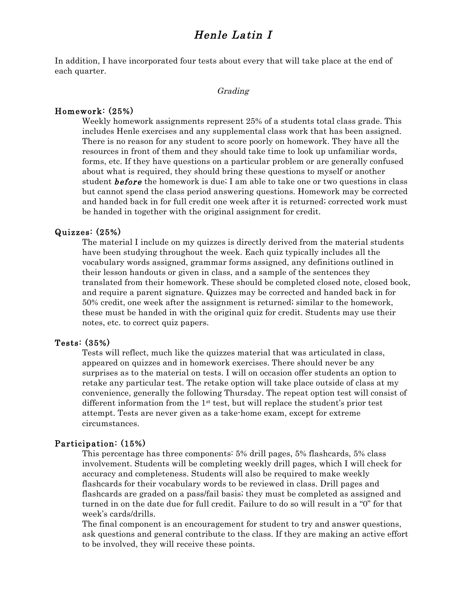In addition, I have incorporated four tests about every that will take place at the end of each quarter.

#### Grading

### Homework: (25%)

Weekly homework assignments represent 25% of a students total class grade. This includes Henle exercises and any supplemental class work that has been assigned. There is no reason for any student to score poorly on homework. They have all the resources in front of them and they should take time to look up unfamiliar words, forms, etc. If they have questions on a particular problem or are generally confused about what is required, they should bring these questions to myself or another student **before** the homework is due; I am able to take one or two questions in class but cannot spend the class period answering questions. Homework may be corrected and handed back in for full credit one week after it is returned; corrected work must be handed in together with the original assignment for credit.

### Quizzes: (25%)

The material I include on my quizzes is directly derived from the material students have been studying throughout the week. Each quiz typically includes all the vocabulary words assigned, grammar forms assigned, any definitions outlined in their lesson handouts or given in class, and a sample of the sentences they translated from their homework. These should be completed closed note, closed book, and require a parent signature. Quizzes may be corrected and handed back in for 50% credit, one week after the assignment is returned; similar to the homework, these must be handed in with the original quiz for credit. Students may use their notes, etc. to correct quiz papers.

### Tests: (35%)

Tests will reflect, much like the quizzes material that was articulated in class, appeared on quizzes and in homework exercises. There should never be any surprises as to the material on tests. I will on occasion offer students an option to retake any particular test. The retake option will take place outside of class at my convenience, generally the following Thursday. The repeat option test will consist of different information from the  $1<sup>st</sup>$  test, but will replace the student's prior test attempt. Tests are never given as a take-home exam, except for extreme circumstances.

### Participation: (15%)

This percentage has three components: 5% drill pages, 5% flashcards, 5% class involvement. Students will be completing weekly drill pages, which I will check for accuracy and completeness. Students will also be required to make weekly flashcards for their vocabulary words to be reviewed in class. Drill pages and flashcards are graded on a pass/fail basis; they must be completed as assigned and turned in on the date due for full credit. Failure to do so will result in a "0" for that week's cards/drills.

The final component is an encouragement for student to try and answer questions, ask questions and general contribute to the class. If they are making an active effort to be involved, they will receive these points.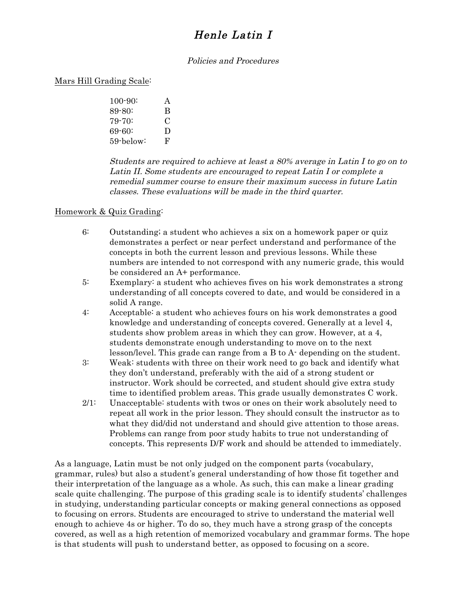### Policies and Procedures

### Mars Hill Grading Scale:

100-90: A 89-80: B 79-70: C 69-60: D 59-below: F

Students are required to achieve at least a 80% average in Latin I to go on to Latin II. Some students are encouraged to repeat Latin I or complete a remedial summer course to ensure their maximum success in future Latin classes. These evaluations will be made in the third quarter.

### Homework & Quiz Grading:

- 6: Outstanding; a student who achieves a six on a homework paper or quiz demonstrates a perfect or near perfect understand and performance of the concepts in both the current lesson and previous lessons. While these numbers are intended to not correspond with any numeric grade, this would be considered an A+ performance.
- 5: Exemplary: a student who achieves fives on his work demonstrates a strong understanding of all concepts covered to date, and would be considered in a solid A range.
- 4: Acceptable: a student who achieves fours on his work demonstrates a good knowledge and understanding of concepts covered. Generally at a level 4, students show problem areas in which they can grow. However, at a 4, students demonstrate enough understanding to move on to the next lesson/level. This grade can range from a B to A- depending on the student.
- 3: Weak: students with three on their work need to go back and identify what they don't understand, preferably with the aid of a strong student or instructor. Work should be corrected, and student should give extra study time to identified problem areas. This grade usually demonstrates C work.
- 2/1: Unacceptable: students with twos or ones on their work absolutely need to repeat all work in the prior lesson. They should consult the instructor as to what they did/did not understand and should give attention to those areas. Problems can range from poor study habits to true not understanding of concepts. This represents D/F work and should be attended to immediately.

As a language, Latin must be not only judged on the component parts (vocabulary, grammar, rules) but also a student's general understanding of how those fit together and their interpretation of the language as a whole. As such, this can make a linear grading scale quite challenging. The purpose of this grading scale is to identify students' challenges in studying, understanding particular concepts or making general connections as opposed to focusing on errors. Students are encouraged to strive to understand the material well enough to achieve 4s or higher. To do so, they much have a strong grasp of the concepts covered, as well as a high retention of memorized vocabulary and grammar forms. The hope is that students will push to understand better, as opposed to focusing on a score.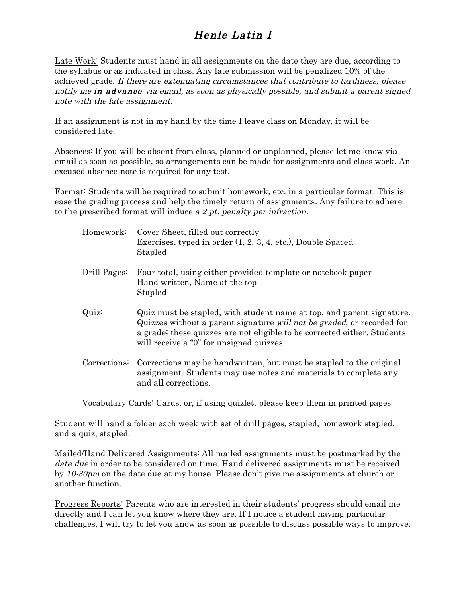Late Work: Students must hand in all assignments on the date they are due, according to the syllabus or as indicated in class. Any late submission will be penalized 10% of the achieved grade. If there are extenuating circumstances that contribute to tardiness, please notify me in advance via email, as soon as physically possible, and submit a parent signed note with the late assignment.

If an assignment is not in my hand by the time I leave class on Monday, it will be considered late.

Absences: If you will be absent from class, planned or unplanned, please let me know via email as soon as possible, so arrangements can be made for assignments and class work. An excused absence note is required for any test.

Format: Students will be required to submit homework, etc. in a particular format. This is ease the grading process and help the timely return of assignments. Any failure to adhere to the prescribed format will induce a 2 pt. penalty per infraction.

| Homework:    | Cover Sheet, filled out correctly<br>Exercises, typed in order (1, 2, 3, 4, etc.), Double Spaced<br>Stapled                                                                                                                                                             |
|--------------|-------------------------------------------------------------------------------------------------------------------------------------------------------------------------------------------------------------------------------------------------------------------------|
| Drill Pages: | Four total, using either provided template or notebook paper<br>Hand written, Name at the top<br>Stapled                                                                                                                                                                |
| Quiz:        | Quiz must be stapled, with student name at top, and parent signature.<br>Quizzes without a parent signature will not be graded, or recorded for<br>a grade; these quizzes are not eligible to be corrected either. Students<br>will receive a "0" for unsigned quizzes. |
| Corrections: | Corrections may be handwritten, but must be stapled to the original<br>assignment. Students may use notes and materials to complete any<br>and all corrections.                                                                                                         |

Vocabulary Cards: Cards, or, if using quizlet, please keep them in printed pages

Student will hand a folder each week with set of drill pages, stapled, homework stapled, and a quiz, stapled.

Mailed/Hand Delivered Assignments: All mailed assignments must be postmarked by the date due in order to be considered on time. Hand delivered assignments must be received by 10:30pm on the date due at my house. Please don't give me assignments at church or another function.

Progress Reports: Parents who are interested in their students' progress should email me directly and I can let you know where they are. If I notice a student having particular challenges, I will try to let you know as soon as possible to discuss possible ways to improve.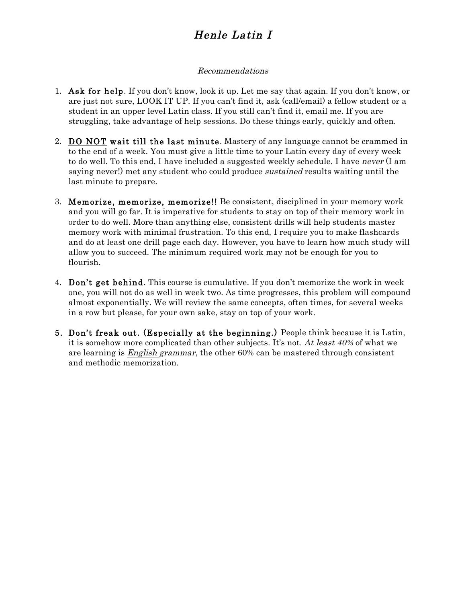### Recommendations

- 1. Ask for help. If you don't know, look it up. Let me say that again. If you don't know, or are just not sure, LOOK IT UP. If you can't find it, ask (call/email) a fellow student or a student in an upper level Latin class. If you still can't find it, email me. If you are struggling, take advantage of help sessions. Do these things early, quickly and often.
- 2. DO NOT wait till the last minute. Mastery of any language cannot be crammed in to the end of a week. You must give a little time to your Latin every day of every week to do well. To this end, I have included a suggested weekly schedule. I have never (I am saying never!) met any student who could produce *sustained* results waiting until the last minute to prepare.
- 3. Memorize, memorize, memorize!! Be consistent, disciplined in your memory work and you will go far. It is imperative for students to stay on top of their memory work in order to do well. More than anything else, consistent drills will help students master memory work with minimal frustration. To this end, I require you to make flashcards and do at least one drill page each day. However, you have to learn how much study will allow you to succeed. The minimum required work may not be enough for you to flourish.
- 4. Don't get behind. This course is cumulative. If you don't memorize the work in week one, you will not do as well in week two. As time progresses, this problem will compound almost exponentially. We will review the same concepts, often times, for several weeks in a row but please, for your own sake, stay on top of your work.
- 5. Don't freak out. (Especially at the beginning.) People think because it is Latin, it is somehow more complicated than other subjects. It's not. At least  $40\%$  of what we are learning is English grammar, the other 60% can be mastered through consistent and methodic memorization.